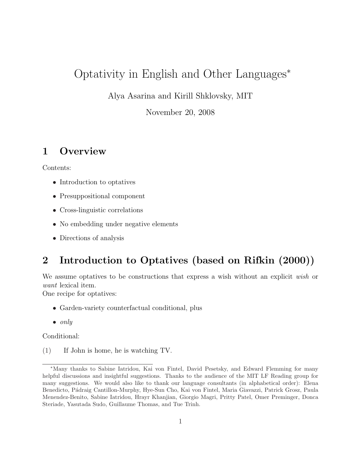# Optativity in English and Other Languages<sup>∗</sup>

Alya Asarina and Kirill Shklovsky, MIT

November 20, 2008

# 1 Overview

Contents:

- Introduction to optatives
- Presuppositional component
- Cross-linguistic correlations
- No embedding under negative elements
- Directions of analysis

# 2 Introduction to Optatives (based on Rifkin (2000))

We assume optatives to be constructions that express a wish without an explicit wish or want lexical item.

One recipe for optatives:

- Garden-variety counterfactual conditional, plus
- only

Conditional:

(1) If John is home, he is watching TV.

<sup>∗</sup>Many thanks to Sabine Iatridou, Kai von Fintel, David Pesetsky, and Edward Flemming for many helpful discussions and insightful suggestions. Thanks to the audience of the MIT LF Reading group for many suggestions. We would also like to thank our language consultants (in alphabetical order): Elena Benedicto, P´adraig Cantillon-Murphy, Hye-Sun Cho, Kai von Fintel, Maria Giavazzi, Patrick Grosz, Paula Menendez-Benito, Sabine Iatridou, Hrayr Khanjian, Giorgio Magri, Pritty Patel, Omer Preminger, Donca Steriade, Yasutada Sudo, Guillaume Thomas, and Tue Trinh.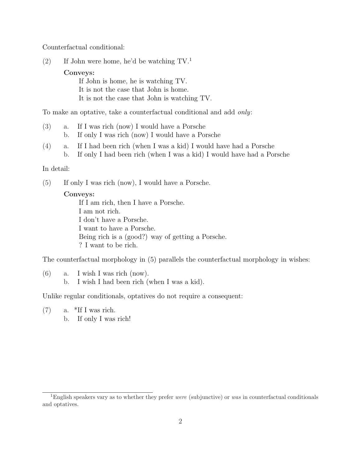Counterfactual conditional:

(2) If John were home, he'd be watching  $TV<sup>1</sup>$ .

Conveys:

If John is home, he is watching TV. It is not the case that John is home. It is not the case that John is watching TV.

To make an optative, take a counterfactual conditional and add only:

- (3) a. If I was rich (now) I would have a Porsche b. If only I was rich (now) I would have a Porsche
- (4) a. If I had been rich (when I was a kid) I would have had a Porsche
	- b. If only I had been rich (when I was a kid) I would have had a Porsche

#### In detail:

(5) If only I was rich (now), I would have a Porsche.

#### Conveys:

If I am rich, then I have a Porsche. I am not rich. I don't have a Porsche. I want to have a Porsche. Being rich is a (good?) way of getting a Porsche. ? I want to be rich.

The counterfactual morphology in (5) parallels the counterfactual morphology in wishes:

(6) a. I wish I was rich (now). b. I wish I had been rich (when I was a kid).

Unlike regular conditionals, optatives do not require a consequent:

- $(7)$  a. \*If I was rich.
	- b. If only I was rich!

<sup>&</sup>lt;sup>1</sup>English speakers vary as to whether they prefer were (subjunctive) or was in counterfactual conditionals and optatives.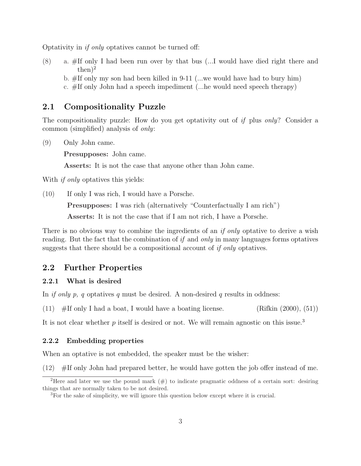Optativity in if only optatives cannot be turned off:

- (8) a. #If only I had been run over by that bus (...I would have died right there and  $then)^2$ 
	- b.  $#$ If only my son had been killed in 9-11 (...we would have had to bury him)
	- c. #If only John had a speech impediment (...he would need speech therapy)

### 2.1 Compositionality Puzzle

The compositionality puzzle: How do you get optativity out of if plus *only*? Consider a common (simplified) analysis of only:

(9) Only John came.

Presupposes: John came.

Asserts: It is not the case that anyone other than John came.

With *if only* optatives this yields:

(10) If only I was rich, I would have a Porsche.

Presupposes: I was rich (alternatively "Counterfactually I am rich")

Asserts: It is not the case that if I am not rich, I have a Porsche.

There is no obvious way to combine the ingredients of an *if only* optative to derive a wish reading. But the fact that the combination of if and only in many languages forms optatives suggests that there should be a compositional account of *if only* optatives.

#### 2.2 Further Properties

#### 2.2.1 What is desired

In if only p, q optatives q must be desired. A non-desired q results in oddness:

(11)  $\#$ If only I had a boat, I would have a boating license. (Rifkin (2000), (51))

It is not clear whether  $p$  itself is desired or not. We will remain agnostic on this issue.<sup>3</sup>

#### 2.2.2 Embedding properties

When an optative is not embedded, the speaker must be the wisher:

(12) #If only John had prepared better, he would have gotten the job offer instead of me.

<sup>&</sup>lt;sup>2</sup>Here and later we use the pound mark  $(\#)$  to indicate pragmatic oddness of a certain sort: desiring things that are normally taken to be not desired.

<sup>3</sup>For the sake of simplicity, we will ignore this question below except where it is crucial.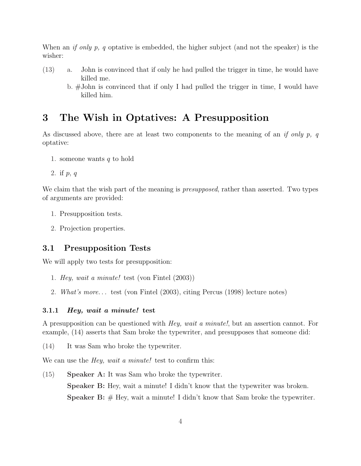When an *if only p, q* optative is embedded, the higher subject (and not the speaker) is the wisher:

- (13) a. John is convinced that if only he had pulled the trigger in time, he would have killed me.
	- b. #John is convinced that if only I had pulled the trigger in time, I would have killed him.

# 3 The Wish in Optatives: A Presupposition

As discussed above, there are at least two components to the meaning of an if only p, q optative:

- 1. someone wants  $q$  to hold
- 2. if p, q

We claim that the wish part of the meaning is *presupposed*, rather than asserted. Two types of arguments are provided:

- 1. Presupposition tests.
- 2. Projection properties.

#### 3.1 Presupposition Tests

We will apply two tests for presupposition:

- 1. Hey, wait a minute! test (von Fintel (2003))
- 2. What's more. . . test (von Fintel (2003), citing Percus (1998) lecture notes)

#### 3.1.1 Hey, wait a minute! test

A presupposition can be questioned with Hey, wait a minute!, but an assertion cannot. For example, (14) asserts that Sam broke the typewriter, and presupposes that someone did:

(14) It was Sam who broke the typewriter.

We can use the *Hey, wait a minute!* test to confirm this:

(15) Speaker A: It was Sam who broke the typewriter. Speaker B: Hey, wait a minute! I didn't know that the typewriter was broken. **Speaker B:**  $#$  Hey, wait a minute! I didn't know that Sam broke the typewriter.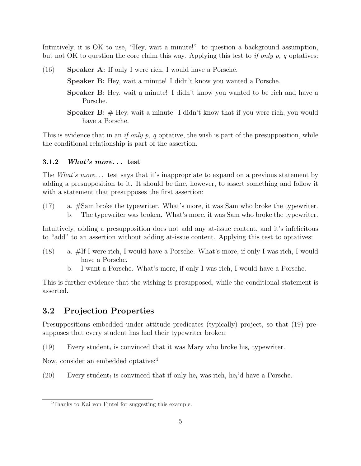Intuitively, it is OK to use, "Hey, wait a minute!" to question a background assumption, but not OK to question the core claim this way. Applying this test to if only  $p$ , q optatives:

- (16) Speaker A: If only I were rich, I would have a Porsche. Speaker B: Hey, wait a minute! I didn't know you wanted a Porsche.
	- Speaker B: Hey, wait a minute! I didn't know you wanted to be rich and have a Porsche.
	- **Speaker B:**  $#$  Hey, wait a minute! I didn't know that if you were rich, you would have a Porsche.

This is evidence that in an *if only p, q* optative, the wish is part of the presupposition, while the conditional relationship is part of the assertion.

#### 3.1.2 What's more. . . test

The *What's more*... test says that it's inappropriate to expand on a previous statement by adding a presupposition to it. It should be fine, however, to assert something and follow it with a statement that presupposes the first assertion:

(17) a. #Sam broke the typewriter. What's more, it was Sam who broke the typewriter. b. The typewriter was broken. What's more, it was Sam who broke the typewriter.

Intuitively, adding a presupposition does not add any at-issue content, and it's infelicitous to "add" to an assertion without adding at-issue content. Applying this test to optatives:

- (18) a. #If I were rich, I would have a Porsche. What's more, if only I was rich, I would have a Porsche.
	- b. I want a Porsche. What's more, if only I was rich, I would have a Porsche.

This is further evidence that the wishing is presupposed, while the conditional statement is asserted.

### 3.2 Projection Properties

Presuppositions embedded under attitude predicates (typically) project, so that (19) presupposes that every student has had their typewriter broken:

(19) Every student<sub>i</sub> is convinced that it was Mary who broke his<sub>i</sub> typewriter.

Now, consider an embedded optative:<sup>4</sup>

(20) Every student<sub>i</sub> is convinced that if only he<sub>i</sub> was rich, he<sub>i</sub>'d have a Porsche.

<sup>4</sup>Thanks to Kai von Fintel for suggesting this example.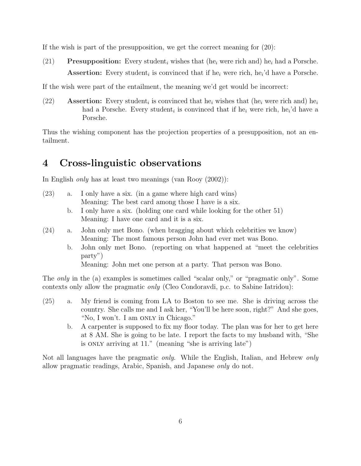If the wish is part of the presupposition, we get the correct meaning for (20):

(21) Presupposition: Every student<sub>i</sub> wishes that (he<sub>i</sub> were rich and) he<sub>i</sub> had a Porsche. Assertion: Every student<sub>i</sub> is convinced that if he<sub>i</sub> were rich, he<sub>i</sub>'d have a Porsche.

If the wish were part of the entailment, the meaning we'd get would be incorrect:

(22) **Assertion:** Every student<sub>i</sub> is convinced that he<sub>i</sub> wishes that (he<sub>i</sub> were rich and) he<sub>i</sub> had a Porsche. Every student<sub>i</sub> is convinced that if he<sub>i</sub> were rich, he<sub>i</sub>'d have a Porsche.

Thus the wishing component has the projection properties of a presupposition, not an entailment.

# 4 Cross-linguistic observations

In English only has at least two meanings (van Rooy (2002)):

- (23) a. I only have a six. (in a game where high card wins) Meaning: The best card among those I have is a six.
	- b. I only have a six. (holding one card while looking for the other 51) Meaning: I have one card and it is a six.
- (24) a. John only met Bono. (when bragging about which celebrities we know) Meaning: The most famous person John had ever met was Bono.
	- b. John only met Bono. (reporting on what happened at "meet the celebrities party")

Meaning: John met one person at a party. That person was Bono.

The *only* in the (a) examples is sometimes called "scalar only," or "pragmatic only". Some contexts only allow the pragmatic only (Cleo Condoravdi, p.c. to Sabine Iatridou):

- (25) a. My friend is coming from LA to Boston to see me. She is driving across the country. She calls me and I ask her, "You'll be here soon, right?" And she goes, "No, I won't. I am ONLY in Chicago."
	- b. A carpenter is supposed to fix my floor today. The plan was for her to get here at 8 AM. She is going to be late. I report the facts to my husband with, "She is only arriving at 11." (meaning "she is arriving late")

Not all languages have the pragmatic *only*. While the English, Italian, and Hebrew *only* allow pragmatic readings, Arabic, Spanish, and Japanese only do not.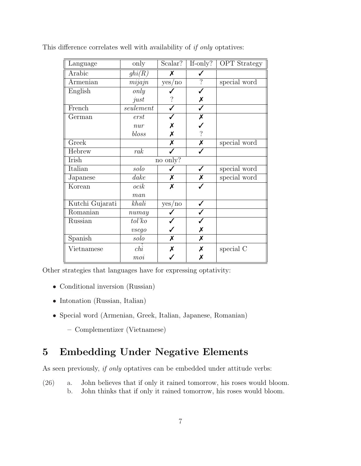| Language                       | only          | Scalar?                   | $If-only?$               | <b>OPT</b> Strategy |
|--------------------------------|---------------|---------------------------|--------------------------|---------------------|
| Arabic                         | ghi(R)        | Х                         |                          |                     |
| Armenian                       | mijajn        | yes/no                    | $\overline{\mathcal{C}}$ | special word        |
| English                        | only          |                           |                          |                     |
|                                | just          |                           | Х                        |                     |
| French                         | seulement     | ✓                         | ✓                        |                     |
| German                         | erst          |                           | Х                        |                     |
|                                | $\n  nar\n$   | Х                         |                          |                     |
|                                | bloss         | X                         | $\overline{\mathcal{L}}$ |                     |
| Greek                          |               | $\boldsymbol{\mathsf{x}}$ | Х                        | special word        |
| Hebrew                         | rak           |                           | ✓                        |                     |
| Irish                          | no only?      |                           |                          |                     |
| Italian                        | solo          |                           |                          | special word        |
| Japanese                       | $\emph{date}$ | Х                         | Х                        | special word        |
| Korean                         | ocik          | X                         |                          |                     |
|                                | man           |                           |                          |                     |
| Kutchi Gujarati                | khali         | yes/no                    |                          |                     |
| $\overline{\mathrm{Roman}}$ an | numay         |                           |                          |                     |
| Russian                        | tol'ko        |                           |                          |                     |
|                                | vseqo         |                           | Х                        |                     |
| Spanish                        | solo          | X                         | X                        |                     |
| Vietnamese                     | chi           | Х                         | Х                        | special C           |
|                                | moi           |                           | Х                        |                     |

This difference correlates well with availability of if only optatives:

Other strategies that languages have for expressing optativity:

- Conditional inversion (Russian)
- Intonation (Russian, Italian)
- Special word (Armenian, Greek, Italian, Japanese, Romanian)
	- Complementizer (Vietnamese)

# 5 Embedding Under Negative Elements

As seen previously, *if only* optatives can be embedded under attitude verbs:

(26) a. John believes that if only it rained tomorrow, his roses would bloom. b. John thinks that if only it rained tomorrow, his roses would bloom.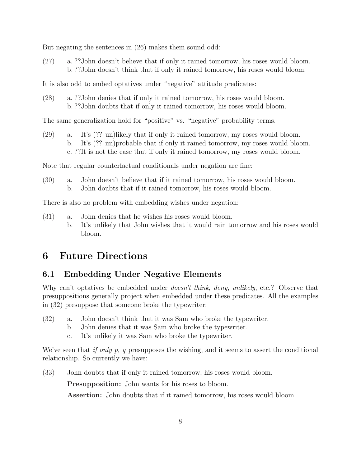But negating the sentences in (26) makes them sound odd:

(27) a. ??John doesn't believe that if only it rained tomorrow, his roses would bloom. b. ??John doesn't think that if only it rained tomorrow, his roses would bloom.

It is also odd to embed optatives under "negative" attitude predicates:

(28) a. ??John denies that if only it rained tomorrow, his roses would bloom. b. ??John doubts that if only it rained tomorrow, his roses would bloom.

The same generalization hold for "positive" vs. "negative" probability terms.

(29) a. It's (?? un)likely that if only it rained tomorrow, my roses would bloom. b. It's (?? im)probable that if only it rained tomorrow, my roses would bloom. c. ??It is not the case that if only it rained tomorrow, my roses would bloom.

Note that regular counterfactual conditionals under negation are fine:

(30) a. John doesn't believe that if it rained tomorrow, his roses would bloom. b. John doubts that if it rained tomorrow, his roses would bloom.

There is also no problem with embedding wishes under negation:

- (31) a. John denies that he wishes his roses would bloom.
	- b. It's unlikely that John wishes that it would rain tomorrow and his roses would bloom.

# 6 Future Directions

### 6.1 Embedding Under Negative Elements

Why can't optatives be embedded under *doesn't think*, *deny*, *unlikely*, etc.? Observe that presuppositions generally project when embedded under these predicates. All the examples in (32) presuppose that someone broke the typewriter:

- (32) a. John doesn't think that it was Sam who broke the typewriter.
	- b. John denies that it was Sam who broke the typewriter.
	- c. It's unlikely it was Sam who broke the typewriter.

We've seen that if only p, q presupposes the wishing, and it seems to assert the conditional relationship. So currently we have:

(33) John doubts that if only it rained tomorrow, his roses would bloom.

Presupposition: John wants for his roses to bloom.

Assertion: John doubts that if it rained tomorrow, his roses would bloom.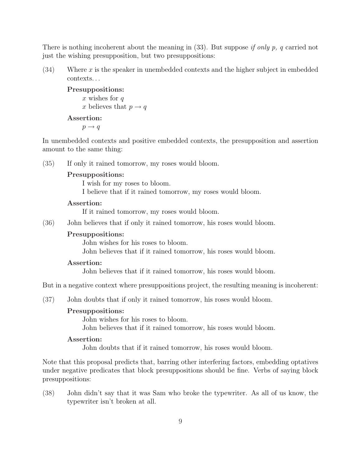There is nothing incoherent about the meaning in (33). But suppose if only p, q carried not just the wishing presupposition, but two presuppositions:

 $(34)$  Where x is the speaker in unembedded contexts and the higher subject in embedded contexts. . .

### Presuppositions: x wishes for  $q$

x believes that  $p \rightarrow q$ 

### Assertion:

 $p \rightarrow q$ 

In unembedded contexts and positive embedded contexts, the presupposition and assertion amount to the same thing:

(35) If only it rained tomorrow, my roses would bloom.

#### Presuppositions:

- I wish for my roses to bloom.
- I believe that if it rained tomorrow, my roses would bloom.

#### Assertion:

If it rained tomorrow, my roses would bloom.

(36) John believes that if only it rained tomorrow, his roses would bloom.

#### Presuppositions:

John wishes for his roses to bloom.

John believes that if it rained tomorrow, his roses would bloom.

#### Assertion:

John believes that if it rained tomorrow, his roses would bloom.

But in a negative context where presuppositions project, the resulting meaning is incoherent:

(37) John doubts that if only it rained tomorrow, his roses would bloom.

#### Presuppositions:

John wishes for his roses to bloom.

John believes that if it rained tomorrow, his roses would bloom.

#### Assertion:

John doubts that if it rained tomorrow, his roses would bloom.

Note that this proposal predicts that, barring other interfering factors, embedding optatives under negative predicates that block presuppositions should be fine. Verbs of saying block presuppositions:

(38) John didn't say that it was Sam who broke the typewriter. As all of us know, the typewriter isn't broken at all.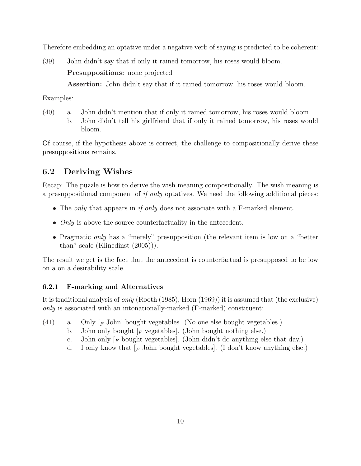Therefore embedding an optative under a negative verb of saying is predicted to be coherent:

(39) John didn't say that if only it rained tomorrow, his roses would bloom. Presuppositions: none projected

Assertion: John didn't say that if it rained tomorrow, his roses would bloom.

Examples:

(40) a. John didn't mention that if only it rained tomorrow, his roses would bloom. b. John didn't tell his girlfriend that if only it rained tomorrow, his roses would bloom.

Of course, if the hypothesis above is correct, the challenge to compositionally derive these presuppositions remains.

### 6.2 Deriving Wishes

Recap: The puzzle is how to derive the wish meaning compositionally. The wish meaning is a presuppositional component of if only optatives. We need the following additional pieces:

- The *only* that appears in *if only* does not associate with a F-marked element.
- *Only* is above the source counterfactuality in the antecedent.
- Pragmatic *only* has a "merely" presupposition (the relevant item is low on a "better than" scale (Klinedinst (2005))).

The result we get is the fact that the antecedent is counterfactual is presupposed to be low on a on a desirability scale.

### 6.2.1 F-marking and Alternatives

It is traditional analysis of only (Rooth (1985), Horn (1969)) it is assumed that (the exclusive) only is associated with an intonationally-marked (F-marked) constituent:

- (41) a. Only  $\lbrack_{F}$  John $\lbrack$  bought vegetables. (No one else bought vegetables.)
	- b. John only bought  $_F$  vegetables. (John bought nothing else.)
	- c. John only  $\lceil_F$  bought vegetables. (John didn't do anything else that day.)
	- d. I only know that  $\lceil_F \text{John bought vegetables} \rceil$ . (I don't know anything else.)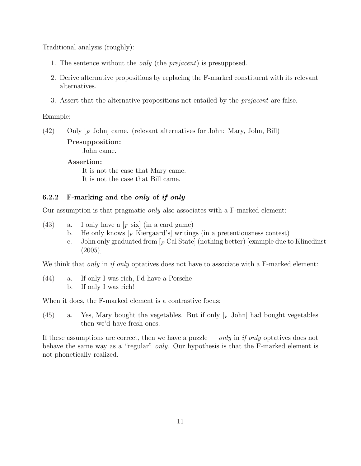Traditional analysis (roughly):

- 1. The sentence without the *only* (the *prejacent*) is presupposed.
- 2. Derive alternative propositions by replacing the F-marked constituent with its relevant alternatives.
- 3. Assert that the alternative propositions not entailed by the prejacent are false.

#### Example:

(42) Only [<sup>F</sup> John] came. (relevant alternatives for John: Mary, John, Bill)

#### Presupposition:

John came.

#### Assertion:

It is not the case that Mary came. It is not the case that Bill came.

#### 6.2.2 F-marking and the only of if only

Our assumption is that pragmatic only also associates with a F-marked element:

- (43) a. I only have a  $\lceil F \text{ six} \rceil$  (in a card game)
	- b. He only knows  $\lceil_{F}$  Kiergaard's writings (in a pretentiousness contest)
	- c. John only graduated from  $\vert_F$  Cal State (nothing better) [example due to Klinedinst] (2005)]

We think that *only* in *if only* optatives does not have to associate with a F-marked element:

(44) a. If only I was rich, I'd have a Porsche b. If only I was rich!

When it does, the F-marked element is a contrastive focus:

(45) a. Yes, Mary bought the vegetables. But if only  $\lceil F \text{John} \rceil$  had bought vegetables then we'd have fresh ones.

If these assumptions are correct, then we have a puzzle — only in if only optatives does not behave the same way as a "regular" *only*. Our hypothesis is that the F-marked element is not phonetically realized.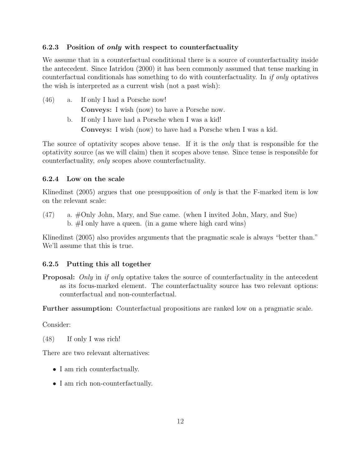#### 6.2.3 Position of only with respect to counterfactuality

We assume that in a counterfactual conditional there is a source of counterfactuality inside the antecedent. Since Iatridou (2000) it has been commonly assumed that tense marking in counterfactual conditionals has something to do with counterfactuality. In if only optatives the wish is interpreted as a current wish (not a past wish):

(46) a. If only I had a Porsche now! Conveys: I wish (now) to have a Porsche now. b. If only I have had a Porsche when I was a kid! Conveys: I wish (now) to have had a Porsche when I was a kid.

The source of optativity scopes above tense. If it is the *only* that is responsible for the optativity source (as we will claim) then it scopes above tense. Since tense is responsible for counterfactuality, only scopes above counterfactuality.

#### 6.2.4 Low on the scale

Klinedinst (2005) argues that one presupposition of *only* is that the F-marked item is low on the relevant scale:

(47) a. #Only John, Mary, and Sue came. (when I invited John, Mary, and Sue) b. #I only have a queen. (in a game where high card wins)

Klinedinst (2005) also provides arguments that the pragmatic scale is always "better than." We'll assume that this is true.

#### 6.2.5 Putting this all together

Proposal: Only in if only optative takes the source of counterfactuality in the antecedent as its focus-marked element. The counterfactuality source has two relevant options: counterfactual and non-counterfactual.

Further assumption: Counterfactual propositions are ranked low on a pragmatic scale.

Consider:

(48) If only I was rich!

There are two relevant alternatives:

- I am rich counterfactually.
- I am rich non-counterfactually.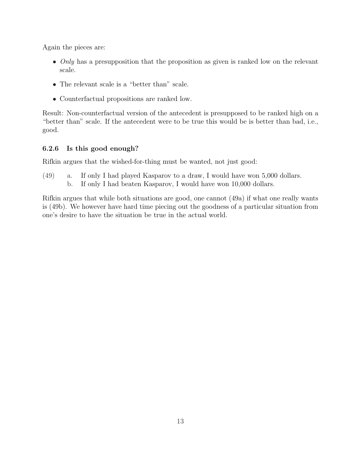Again the pieces are:

- Only has a presupposition that the proposition as given is ranked low on the relevant scale.
- The relevant scale is a "better than" scale.
- Counterfactual propositions are ranked low.

Result: Non-counterfactual version of the antecedent is presupposed to be ranked high on a "better than" scale. If the antecedent were to be true this would be is better than bad, i.e., good.

### 6.2.6 Is this good enough?

Rifkin argues that the wished-for-thing must be wanted, not just good:

(49) a. If only I had played Kasparov to a draw, I would have won 5,000 dollars. b. If only I had beaten Kasparov, I would have won 10,000 dollars.

Rifkin argues that while both situations are good, one cannot (49a) if what one really wants is (49b). We however have hard time piecing out the goodness of a particular situation from one's desire to have the situation be true in the actual world.